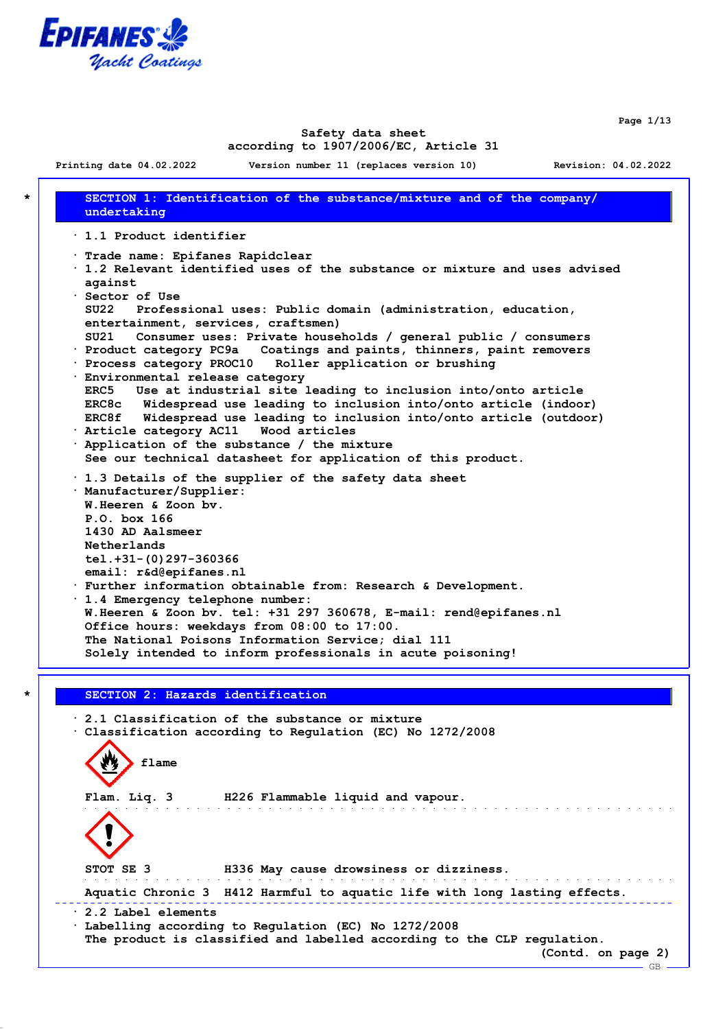

**Page 1/13**

#### **Safety data sheet according to 1907/2006/EC, Article 31**

**Printing date 04.02.2022 Version number 11 (replaces version 10) Revision: 04.02.2022 \* SECTION 1: Identification of the substance/mixture and of the company/ undertaking · 1.1 Product identifier · Trade name: Epifanes Rapidclear · 1.2 Relevant identified uses of the substance or mixture and uses advised against · Sector of Use SU22 Professional uses: Public domain (administration, education, entertainment, services, craftsmen) SU21 Consumer uses: Private households / general public / consumers · Product category PC9a Coatings and paints, thinners, paint removers · Process category PROC10 Roller application or brushing · Environmental release category ERC5 Use at industrial site leading to inclusion into/onto article ERC8c Widespread use leading to inclusion into/onto article (indoor) ERC8f Widespread use leading to inclusion into/onto article (outdoor) · Article category AC11 Wood articles · Application of the substance / the mixture See our technical datasheet for application of this product. · 1.3 Details of the supplier of the safety data sheet · Manufacturer/Supplier: W.Heeren & Zoon bv. P.O. box 166 1430 AD Aalsmeer Netherlands tel.+31-(0)297-360366 email: r&d@epifanes.nl · Further information obtainable from: Research & Development. · 1.4 Emergency telephone number: W.Heeren & Zoon bv. tel: +31 297 360678, E-mail: rend@epifanes.nl Office hours: weekdays from 08:00 to 17:00. The National Poisons Information Service; dial 111 Solely intended to inform professionals in acute poisoning! \* SECTION 2: Hazards identification**

**· 2.1 Classification of the substance or mixture · Classification according to Regulation (EC) No 1272/2008 flame Flam. Liq. 3 H226 Flammable liquid and vapour. STOT SE 3 H336 May cause drowsiness or dizziness.** and the state of the state of the **Aquatic Chronic 3 H412 Harmful to aquatic life with long lasting effects. · 2.2 Label elements · Labelling according to Regulation (EC) No 1272/2008 The product is classified and labelled according to the CLP regulation. (Contd. on page 2)** GB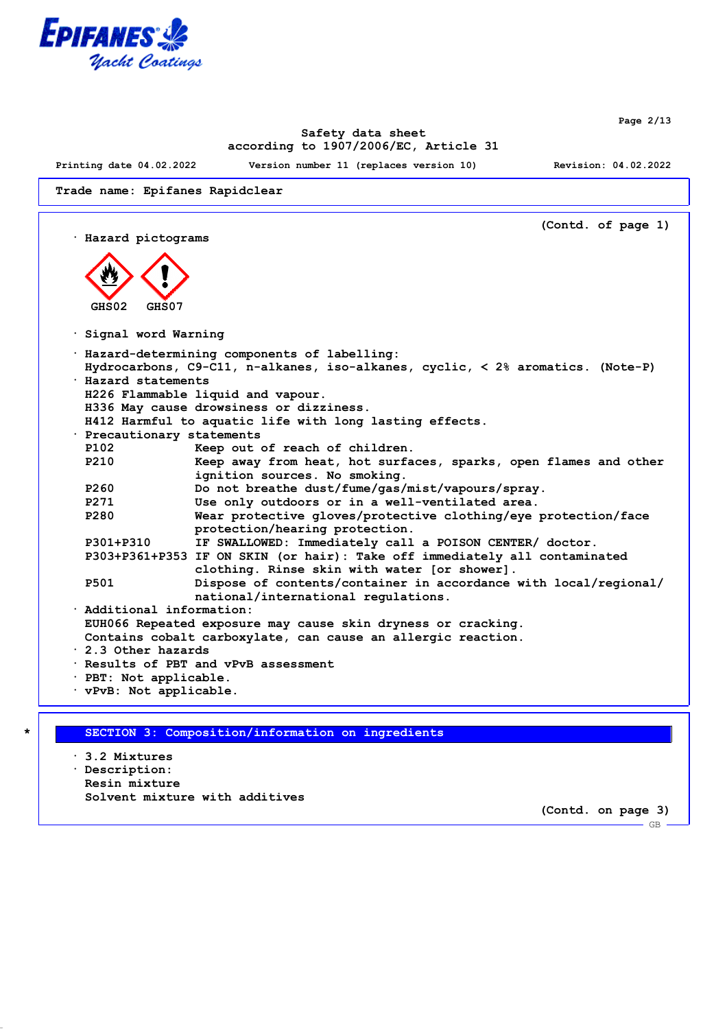

**Page 2/13**

## **Safety data sheet according to 1907/2006/EC, Article 31**

**Printing date 04.02.2022 Version number 11 (replaces version 10) Revision: 04.02.2022**

**Trade name: Epifanes Rapidclear**

**(Contd. of page 1) · Hazard pictograms GHS02 GHS07 · Signal word Warning · Hazard-determining components of labelling: Hydrocarbons, C9-C11, n-alkanes, iso-alkanes, cyclic, < 2% aromatics. (Note-P) · Hazard statements H226 Flammable liquid and vapour. H336 May cause drowsiness or dizziness. H412 Harmful to aquatic life with long lasting effects. · Precautionary statements P102 Keep out of reach of children. P210 Keep away from heat, hot surfaces, sparks, open flames and other ignition sources. No smoking. P260 Do not breathe dust/fume/gas/mist/vapours/spray. P271 Use only outdoors or in a well-ventilated area. P280 Wear protective gloves/protective clothing/eye protection/face protection/hearing protection. P301+P310 IF SWALLOWED: Immediately call a POISON CENTER/ doctor. P303+P361+P353 IF ON SKIN (or hair): Take off immediately all contaminated clothing. Rinse skin with water [or shower]. P501 Dispose of contents/container in accordance with local/regional/ national/international regulations. · Additional information: EUH066 Repeated exposure may cause skin dryness or cracking. Contains cobalt carboxylate, can cause an allergic reaction. · 2.3 Other hazards · Results of PBT and vPvB assessment · PBT: Not applicable. · vPvB: Not applicable.**

#### **\* SECTION 3: Composition/information on ingredients**

**· 3.2 Mixtures · Description: Resin mixture Solvent mixture with additives**

**(Contd. on page 3)**

 $-$  GB  $-$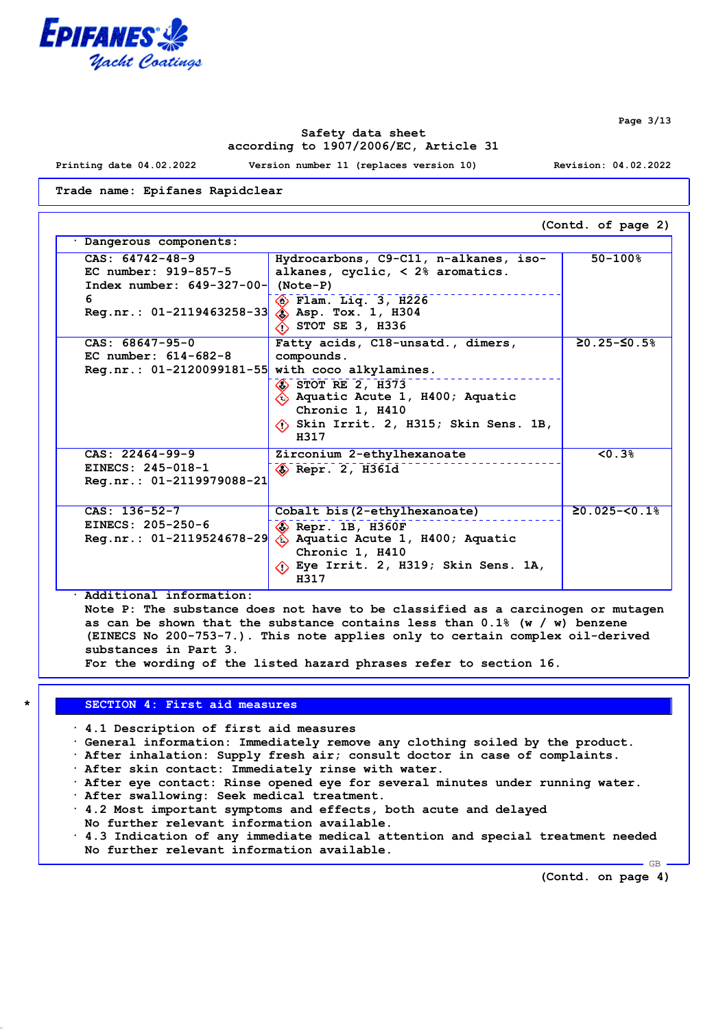

**Page 3/13**

## **Safety data sheet according to 1907/2006/EC, Article 31**

**Printing date 04.02.2022 Version number 11 (replaces version 10) Revision: 04.02.2022**

**Trade name: Epifanes Rapidclear**

| Dangerous components:                                                                                 |                                                                                                                                                                                                                                     |                                      |
|-------------------------------------------------------------------------------------------------------|-------------------------------------------------------------------------------------------------------------------------------------------------------------------------------------------------------------------------------------|--------------------------------------|
| CAS: 64742-48-9<br>EC number: 919-857-5<br>Index number: $649-327-00$ (Note-P)                        | Hydrocarbons, C9-C11, n-alkanes, iso-<br>alkanes, cyclic, $< 2\$ aromatics.                                                                                                                                                         | $50 - 100$ <sup>8</sup>              |
| 6<br>Reg.nr.: $01-2119463258-33$ $\circledast$ Asp. Tox. 1, H304                                      | $\circledast$ Flam. Liq. 3, H226<br>$\Diamond$ STOT SE 3, H336                                                                                                                                                                      |                                      |
| $CAS: 68647-95-0$<br>EC number: $614 - 682 - 8$<br>Reg.nr.: $01-2120099181-55$ with coco alkylamines. | Fatty acids, C18-unsatd., dimers,<br>compounds.<br>$\diamond$ STOT RE 2, H373<br>$\langle \hat{c} \rangle$ Aquatic Acute 1, H400; Aquatic<br>Chronic 1, H410<br>$\langle \cdot \rangle$ Skin Irrit. 2, H315; Skin Sens. 1B,<br>H317 | $≥0.25-S0.5%$                        |
| $CAS: 22464-99-9$<br>EINECS: 245-018-1<br>Reg.nr.: 01-2119979088-21                                   | Zirconium 2-ethylhexanoate<br>$\diamondsuit$ Repr. 2, H361d                                                                                                                                                                         | 50.3%                                |
| $CAS: 136-52-7$<br>EINECS: 205-250-6<br>$Reg.nr.: 01-2119524678-29$                                   | Cobalt bis (2-ethylhexanoate)<br>$\diamondsuit$ Repr. 1B, H360F<br>$\langle \hat{c} \rangle$ Aquatic Acute 1, H400; Aquatic<br>Chronic 1, H410<br>$\langle$ Eye Irrit. 2, H319; Skin Sens. 1A,<br>H317                              | $\geq 0.025 - \leq 0.1$ <sup>8</sup> |

**· Additional information:**

**Note P: The substance does not have to be classified as a carcinogen or mutagen as can be shown that the substance contains less than 0.1% (w / w) benzene (EINECS No 200-753-7.). This note applies only to certain complex oil-derived substances in Part 3.**

**For the wording of the listed hazard phrases refer to section 16.**

#### **\* SECTION 4: First aid measures**

**· 4.1 Description of first aid measures**

- **· General information: Immediately remove any clothing soiled by the product.**
- **· After inhalation: Supply fresh air; consult doctor in case of complaints.**
- **· After skin contact: Immediately rinse with water.**
- **· After eye contact: Rinse opened eye for several minutes under running water.**
- **· After swallowing: Seek medical treatment.**
- **· 4.2 Most important symptoms and effects, both acute and delayed No further relevant information available.**
- **· 4.3 Indication of any immediate medical attention and special treatment needed No further relevant information available.**

**(Contd. on page 4)**

 $-GB$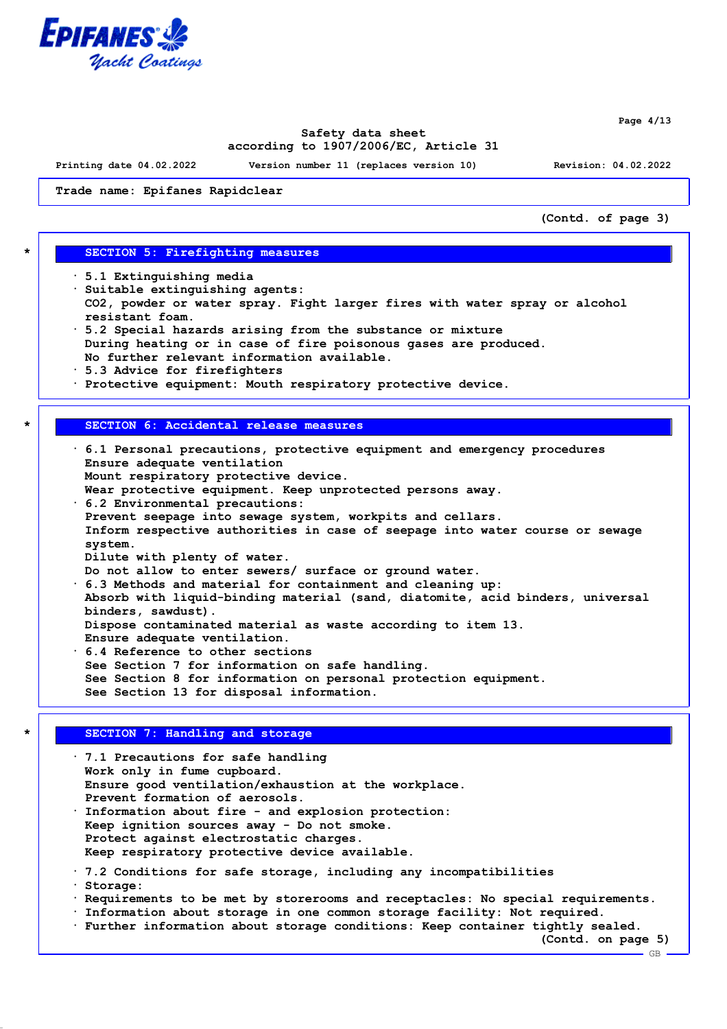

**Page 4/13**

## **Safety data sheet according to 1907/2006/EC, Article 31**

**Printing date 04.02.2022 Version number 11 (replaces version 10) Revision: 04.02.2022**

**Trade name: Epifanes Rapidclear**

**(Contd. of page 3)**

#### **\* SECTION 5: Firefighting measures**

- **· 5.1 Extinguishing media**
- **· Suitable extinguishing agents: CO2, powder or water spray. Fight larger fires with water spray or alcohol resistant foam.**
- **· 5.2 Special hazards arising from the substance or mixture During heating or in case of fire poisonous gases are produced. No further relevant information available.**
- **· 5.3 Advice for firefighters**
- **· Protective equipment: Mouth respiratory protective device.**

## **\* SECTION 6: Accidental release measures**

**· 6.1 Personal precautions, protective equipment and emergency procedures Ensure adequate ventilation Mount respiratory protective device. Wear protective equipment. Keep unprotected persons away. · 6.2 Environmental precautions: Prevent seepage into sewage system, workpits and cellars. Inform respective authorities in case of seepage into water course or sewage system. Dilute with plenty of water. Do not allow to enter sewers/ surface or ground water. · 6.3 Methods and material for containment and cleaning up: Absorb with liquid-binding material (sand, diatomite, acid binders, universal binders, sawdust). Dispose contaminated material as waste according to item 13. Ensure adequate ventilation. · 6.4 Reference to other sections See Section 7 for information on safe handling. See Section 8 for information on personal protection equipment. See Section 13 for disposal information.**

# **\* SECTION 7: Handling and storage**

**· 7.1 Precautions for safe handling Work only in fume cupboard. Ensure good ventilation/exhaustion at the workplace. Prevent formation of aerosols. · Information about fire - and explosion protection: Keep ignition sources away - Do not smoke. Protect against electrostatic charges. Keep respiratory protective device available. · 7.2 Conditions for safe storage, including any incompatibilities · Storage: · Requirements to be met by storerooms and receptacles: No special requirements. · Information about storage in one common storage facility: Not required. · Further information about storage conditions: Keep container tightly sealed.**

**(Contd. on page 5)**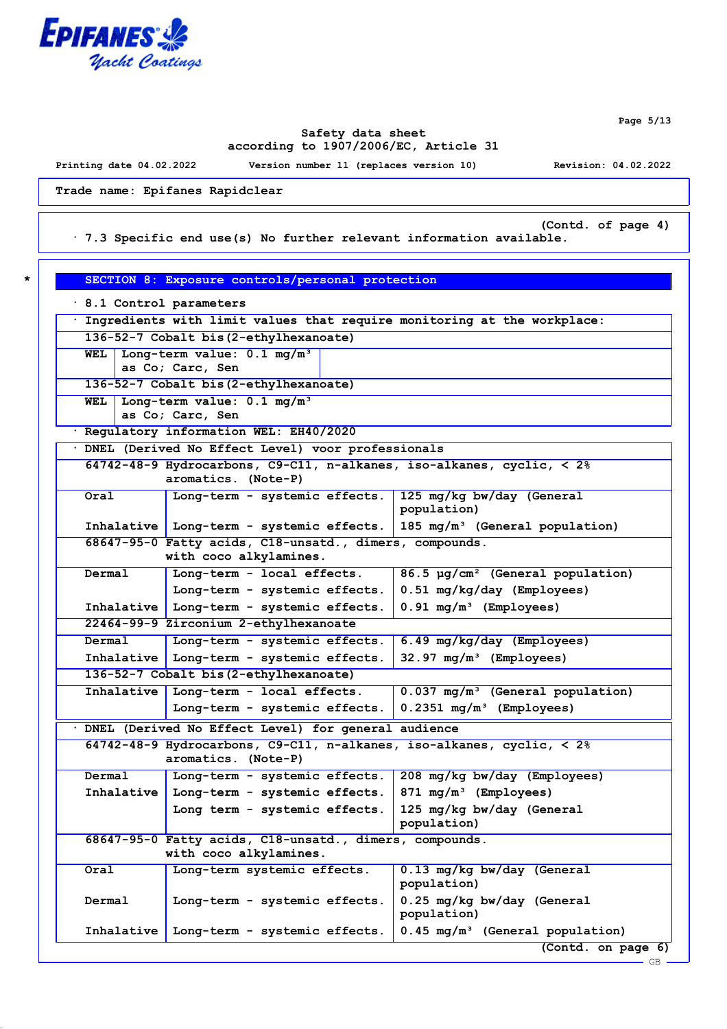

**Page 5/13**

GB

#### **Safety data sheet according to 1907/2006/EC, Article 31**

**Printing date 04.02.2022 Version number 11 (replaces version 10) Revision: 04.02.2022**

**Trade name: Epifanes Rapidclear**

**(Contd. of page 4)**

**\* SECTION 8: Exposure controls/personal protection**

**· 7.3 Specific end use(s) No further relevant information available.**

| 8.1 Control parameters |                                                                                      |                                               |
|------------------------|--------------------------------------------------------------------------------------|-----------------------------------------------|
|                        | Ingredients with limit values that require monitoring at the workplace:              |                                               |
|                        | 136-52-7 Cobalt bis (2-ethylhexanoate)                                               |                                               |
| WEL                    | Long-term value: $0.1$ mg/m <sup>3</sup>                                             |                                               |
|                        | as Co; Carc, Sen                                                                     |                                               |
|                        | 136-52-7 Cobalt bis (2-ethylhexanoate)                                               |                                               |
| WEL                    | Long-term value: 0.1 mq/m <sup>3</sup>                                               |                                               |
|                        | as Co; Carc, Sen                                                                     |                                               |
|                        | · Regulatory information WEL: EH40/2020                                              |                                               |
|                        | . DNEL (Derived No Effect Level) voor professionals                                  |                                               |
|                        | 64742-48-9 Hydrocarbons, C9-C11, n-alkanes, iso-alkanes, cyclic, $\langle 2 \rangle$ |                                               |
|                        | aromatics. (Note-P)                                                                  |                                               |
| Oral                   | Long-term - systemic effects.                                                        | 125 mg/kg bw/day (General                     |
|                        |                                                                                      | population)                                   |
|                        | Inhalative   Long-term - systemic effects.                                           | 185 mg/m <sup>3</sup> (General population)    |
|                        | 68647-95-0 Fatty acids, C18-unsatd., dimers, compounds.<br>with coco alkylamines.    |                                               |
|                        |                                                                                      |                                               |
| Dermal                 | Long-term - local effects.                                                           | 86.5 µg/cm <sup>2</sup> (General population)  |
|                        | Long-term - systemic effects.                                                        | 0.51 mg/kg/day (Employees)                    |
|                        | Inhalative   Long-term - systemic effects.                                           | $0.91$ mg/m <sup>3</sup> (Employees)          |
|                        | 22464-99-9 Zirconium 2-ethylhexanoate                                                |                                               |
| Dermal                 | Long-term - systemic effects.                                                        | 6.49 mg/kg/day (Employees)                    |
|                        | Inhalative   Long-term - systemic effects.                                           | $32.97 \text{ mg/m}^3$ (Employees)            |
|                        | 136-52-7 Cobalt bis (2-ethylhexanoate)                                               |                                               |
|                        | Inhalative Long-term - local effects.                                                | 0.037 mg/m <sup>3</sup> (General population)  |
|                        | Long-term - systemic effects.                                                        | $0.2351$ mg/m <sup>3</sup> (Employees)        |
|                        | DNEL (Derived No Effect Level) for general audience                                  |                                               |
|                        | 64742-48-9 Hydrocarbons, C9-C11, n-alkanes, iso-alkanes, cyclic, < 2%                |                                               |
|                        | aromatics. (Note-P)                                                                  |                                               |
| Dermal                 | Long-term - systemic effects.                                                        | 208 mg/kg bw/day (Employees)                  |
|                        | Inhalative Long-term - systemic effects.                                             | 871 $mg/m^3$ (Employees)                      |
|                        | Long term - systemic effects.                                                        | 125 mg/kg bw/day (General                     |
|                        |                                                                                      | population)                                   |
|                        | 68647-95-0 Fatty acids, C18-unsatd., dimers, compounds.                              |                                               |
|                        | with coco alkylamines.                                                               |                                               |
| Oral                   | Long-term systemic effects.                                                          | 0.13 mg/kg bw/day (General                    |
|                        |                                                                                      | population)                                   |
| Dermal                 | Long-term - systemic effects.                                                        | 0.25 mg/kg bw/day (General                    |
|                        |                                                                                      | population)                                   |
| Inhalative             | Long-term - systemic effects.                                                        | $0.45$ mg/m <sup>3</sup> (General population) |
|                        |                                                                                      | (Contd. on page 6)                            |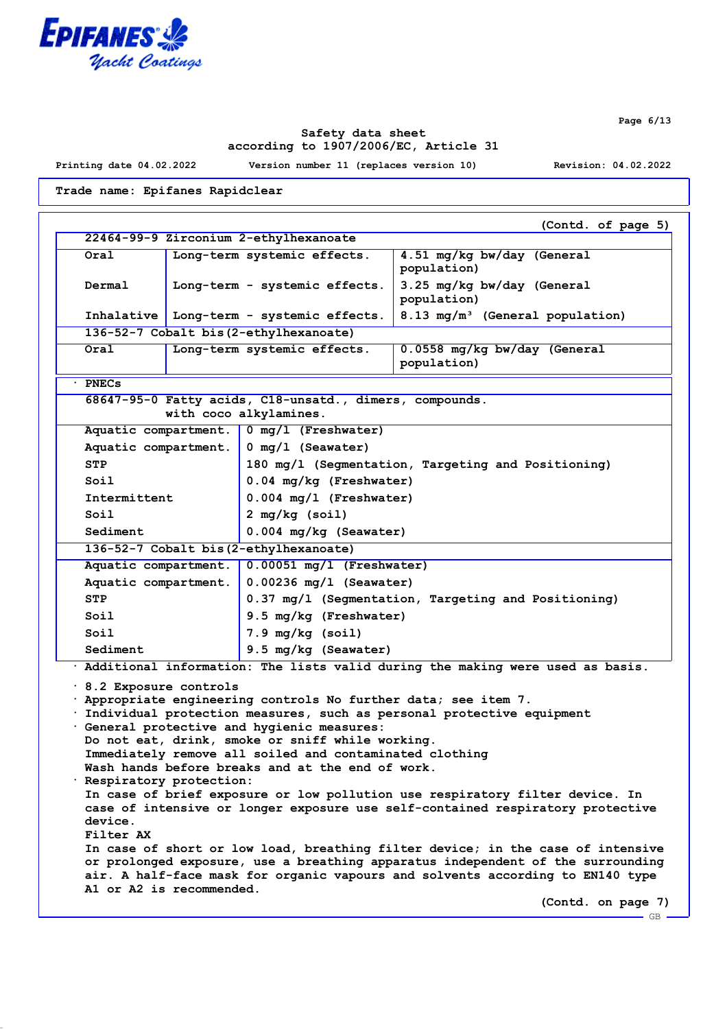

**Page 6/13**

# **Safety data sheet according to 1907/2006/EC, Article 31**

**Printing date 04.02.2022 Version number 11 (replaces version 10) Revision: 04.02.2022**

**Trade name: Epifanes Rapidclear**

**(Contd. of page 5) 22464-99-9 Zirconium 2-ethylhexanoate Oral Long-term systemic effects. 4.51 mg/kg bw/day (General population) Dermal Long-term - systemic effects. 3.25 mg/kg bw/day (General population) Inhalative Long-term - systemic effects. 8.13 mg/m³ (General population) 136-52-7 Cobalt bis(2-ethylhexanoate) Oral Long-term systemic effects. 0.0558 mg/kg bw/day (General population) · PNECs 68647-95-0 Fatty acids, C18-unsatd., dimers, compounds. with coco alkylamines. Aquatic compartment. 0 mg/l (Freshwater) Aquatic compartment. 0 mg/l (Seawater) STP 180 mg/l (Segmentation, Targeting and Positioning) Soil 0.04 mg/kg (Freshwater) Intermittent 0.004 mg/l (Freshwater) Soil 2 mg/kg (soil) Sediment 0.004 mg/kg (Seawater) 136-52-7 Cobalt bis(2-ethylhexanoate) Aquatic compartment. 0.00051 mg/l (Freshwater) Aquatic compartment. 0.00236 mg/l (Seawater) STP 0.37 mg/l (Segmentation, Targeting and Positioning) Soil 9.5 mg/kg (Freshwater) Soil 7.9 mg/kg (soil)** Sediment 9.5 mg/kg (Seawater) **· Additional information: The lists valid during the making were used as basis. · 8.2 Exposure controls · Appropriate engineering controls No further data; see item 7. · Individual protection measures, such as personal protective equipment · General protective and hygienic measures: Do not eat, drink, smoke or sniff while working. Immediately remove all soiled and contaminated clothing Wash hands before breaks and at the end of work. · Respiratory protection: In case of brief exposure or low pollution use respiratory filter device. In case of intensive or longer exposure use self-contained respiratory protective device. Filter AX In case of short or low load, breathing filter device; in the case of intensive or prolonged exposure, use a breathing apparatus independent of the surrounding air. A half-face mask for organic vapours and solvents according to EN140 type A1 or A2 is recommended.**

**(Contd. on page 7)** GB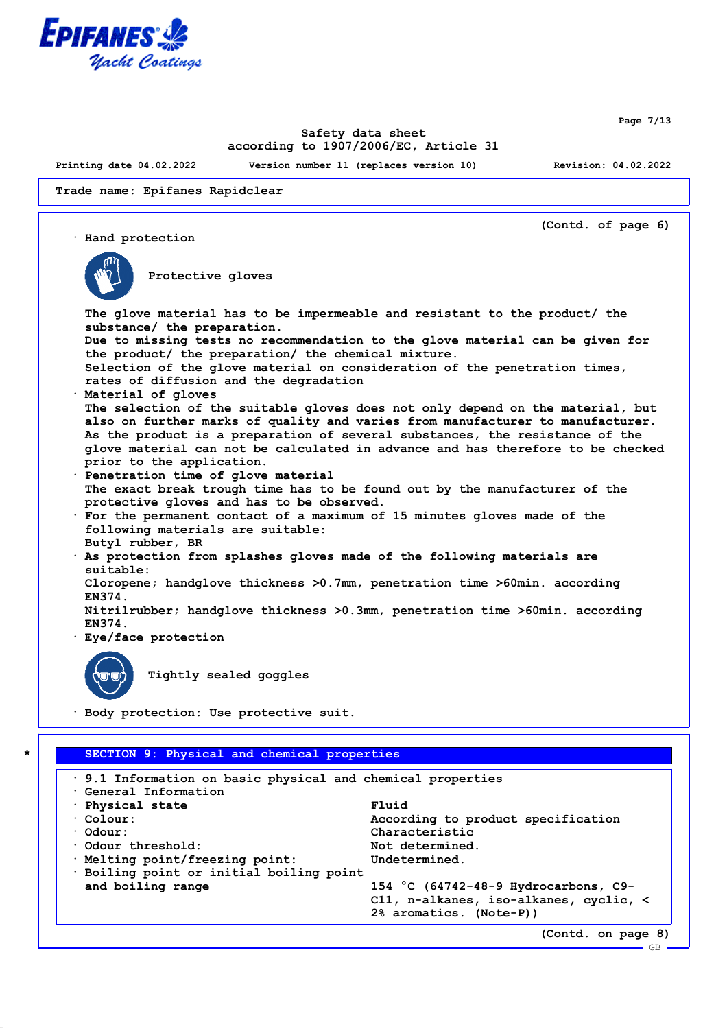

**Page 7/13**

# **Safety data sheet according to 1907/2006/EC, Article 31**

**Printing date 04.02.2022 Version number 11 (replaces version 10) Revision: 04.02.2022**

**Trade name: Epifanes Rapidclear**

**(Contd. of page 6) · Hand protection Protective gloves The glove material has to be impermeable and resistant to the product/ the substance/ the preparation. Due to missing tests no recommendation to the glove material can be given for the product/ the preparation/ the chemical mixture. Selection of the glove material on consideration of the penetration times, rates of diffusion and the degradation · Material of gloves The selection of the suitable gloves does not only depend on the material, but also on further marks of quality and varies from manufacturer to manufacturer. As the product is a preparation of several substances, the resistance of the glove material can not be calculated in advance and has therefore to be checked prior to the application. · Penetration time of glove material The exact break trough time has to be found out by the manufacturer of the protective gloves and has to be observed. · For the permanent contact of a maximum of 15 minutes gloves made of the following materials are suitable: Butyl rubber, BR · As protection from splashes gloves made of the following materials are suitable: Cloropene; handglove thickness >0.7mm, penetration time >60min. according EN374. Nitrilrubber; handglove thickness >0.3mm, penetration time >60min. according EN374. · Eye/face protection Tightly sealed goggles · Body protection: Use protective suit. \* SECTION 9: Physical and chemical properties · 9.1 Information on basic physical and chemical properties · General Information · Physical state Fluid · Colour: According to product specification · Odour: Characteristic · Odour threshold: Not determined. · Melting point/freezing point: Undetermined.**

**· Boiling point or initial boiling point**

GB

**and boiling range 154 °C (64742-48-9 Hydrocarbons, C9- C11, n-alkanes, iso-alkanes, cyclic, < 2% aromatics. (Note-P))**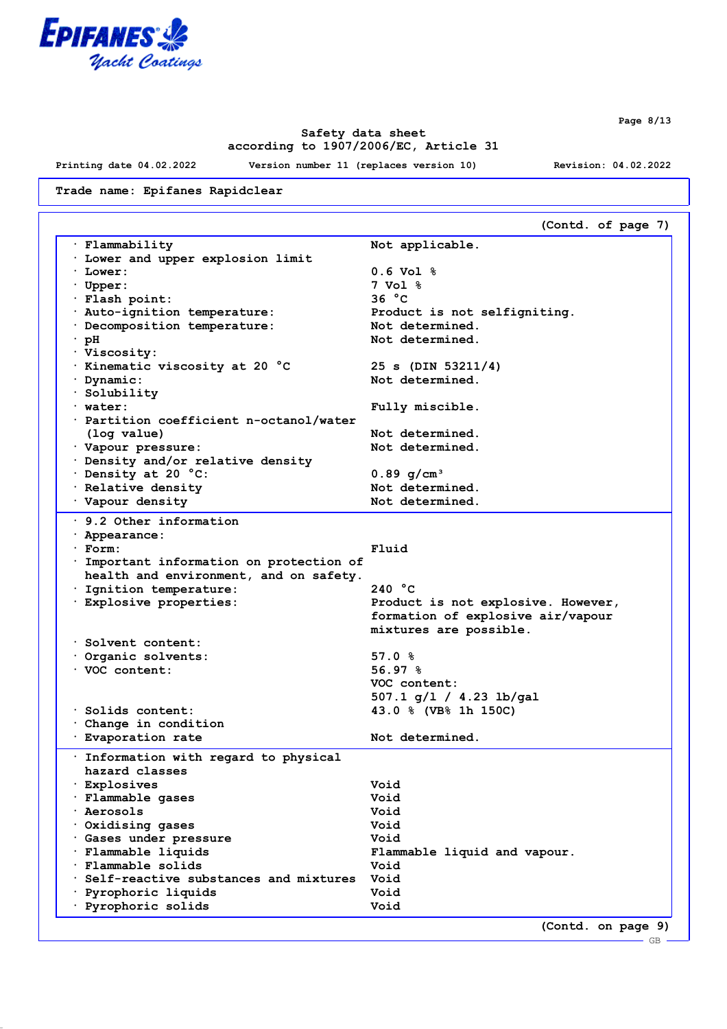

**Safety data sheet according to 1907/2006/EC, Article 31**

**Printing date 04.02.2022 Version number 11 (replaces version 10) Revision: 04.02.2022**

**Trade name: Epifanes Rapidclear**

**(Contd. of page 7) · Flammability Not applicable. · Lower and upper explosion limit · Lower: 0.6 Vol % · Upper: 7 Vol % · Flash point: 36 °C · Auto-ignition temperature: Product is not selfigniting. · Decomposition temperature: Not determined. · pH Not determined. · Viscosity: · Kinematic viscosity at 20 °C 25 s (DIN 53211/4) · Dynamic: Not determined. · Solubility · water: Fully miscible. · Partition coefficient n-octanol/water (log value) Not determined. · Vapour** pressure: **· Density and/or relative density · Density at 20 °C: 0.89 g/cm³** · **Relative density 1996 1997 Not determined.** · **Vapour density with the Communist Communist Communist Communist Communist Communist Communist Communist Communist Communist Communist Communist Communist Communist Communist Communist Communist Communist Communist Com · 9.2 Other information · Appearance: · Form: Fluid · Important information on protection of health and environment, and on safety. · Ignition temperature: 240 °C · Explosive properties: Product is not explosive. However, formation of explosive air/vapour mixtures are possible. · Solvent content: · Organic solvents: 57.0 % · VOC content: 56.97 % VOC content: 507.1 g/l / 4.23 lb/gal · Solids content: 43.0 % (VB% 1h 150C) · Change in condition · Evaporation rate Not determined. · Information with regard to physical hazard classes · Explosives Void · Flammable gases Void · Aerosols Void · Oxidising gases Void · Gases under pressure Void · Flammable liquids Flammable liquid and vapour. · Flammable solids Void · Self-reactive substances and mixtures Void · Pyrophoric liquids Void · Pyrophoric solids Void (Contd. on page 9)**

**Page 8/13**

GB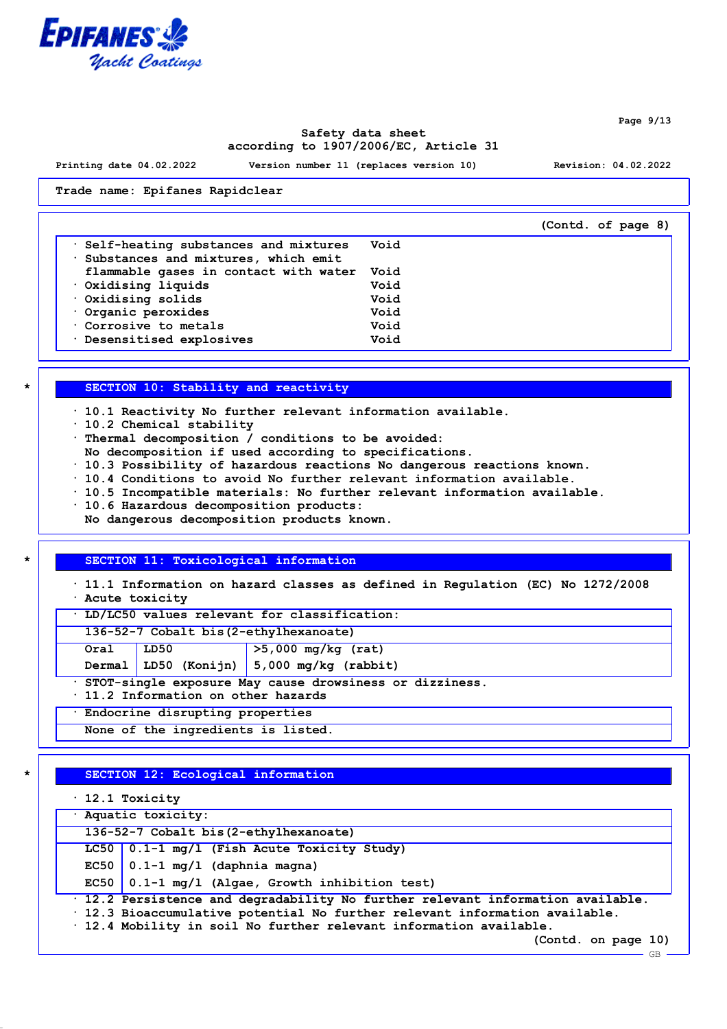

**Safety data sheet according to 1907/2006/EC, Article 31**

**Printing date 04.02.2022 Version number 11 (replaces version 10) Revision: 04.02.2022**

**(Contd. of page 8)**

**Trade name: Epifanes Rapidclear**

| $\cdot$ Self-heating substances and mixtures<br>Substances and mixtures, which emit | Void |
|-------------------------------------------------------------------------------------|------|
|                                                                                     |      |
| flammable gases in contact with water                                               | Void |
| $\cdot$ Oxidising liquids                                                           | Void |
|                                                                                     |      |
| $\cdot$ Oxidising solids                                                            | Void |
| Organic peroxides                                                                   | Void |
| Corrosive to metals                                                                 | Void |
| Desensitised explosives<br>$\bullet$                                                | Void |
|                                                                                     |      |

## **\* SECTION 10: Stability and reactivity**

- **· 10.1 Reactivity No further relevant information available.**
- **· 10.2 Chemical stability**
- **· Thermal decomposition / conditions to be avoided:**
- **No decomposition if used according to specifications.**
- **· 10.3 Possibility of hazardous reactions No dangerous reactions known.**
- **· 10.4 Conditions to avoid No further relevant information available.**
- **· 10.5 Incompatible materials: No further relevant information available.**
- **· 10.6 Hazardous decomposition products:**
- **No dangerous decomposition products known.**

#### **\* SECTION 11: Toxicological information**

**· 11.1 Information on hazard classes as defined in Regulation (EC) No 1272/2008 · Acute toxicity**

**· LD/LC50 values relevant for classification:**

**136-52-7 Cobalt bis(2-ethylhexanoate)**

| Oral | LD50 | $>5,000$ mg/kg (rat) |
|------|------|----------------------|
|      |      |                      |

**Dermal LD50 (Konijn) 5,000 mg/kg (rabbit)**

**· STOT-single exposure May cause drowsiness or dizziness.**

**· 11.2 Information on other hazards**

**· Endocrine disrupting properties**

**None of the ingredients is listed.**

# **\* SECTION 12: Ecological information**

**· 12.1 Toxicity**

| . 12.1 Toxicity                                                                       |  |
|---------------------------------------------------------------------------------------|--|
| · Aquatic toxicity:                                                                   |  |
| 136-52-7 Cobalt bis (2-ethylhexanoate)                                                |  |
| LC50 $\vert$ 0.1-1 mg/l (Fish Acute Toxicity Study)                                   |  |
| EC50 $\vert$ 0.1-1 mg/1 (daphnia magna)                                               |  |
| EC50 $\vert$ 0.1-1 mg/l (Algae, Growth inhibition test)                               |  |
| $\cdot$ 12.2 Persistence and degradability No further relevant information available. |  |
| $\cdot$ 12.3 Bioaccumulative potential No further relevant information available.     |  |
| $\cdot$ 12.4 Mobility in soil No further relevant information available.              |  |

**(Contd. on page 10)**

**Page 9/13**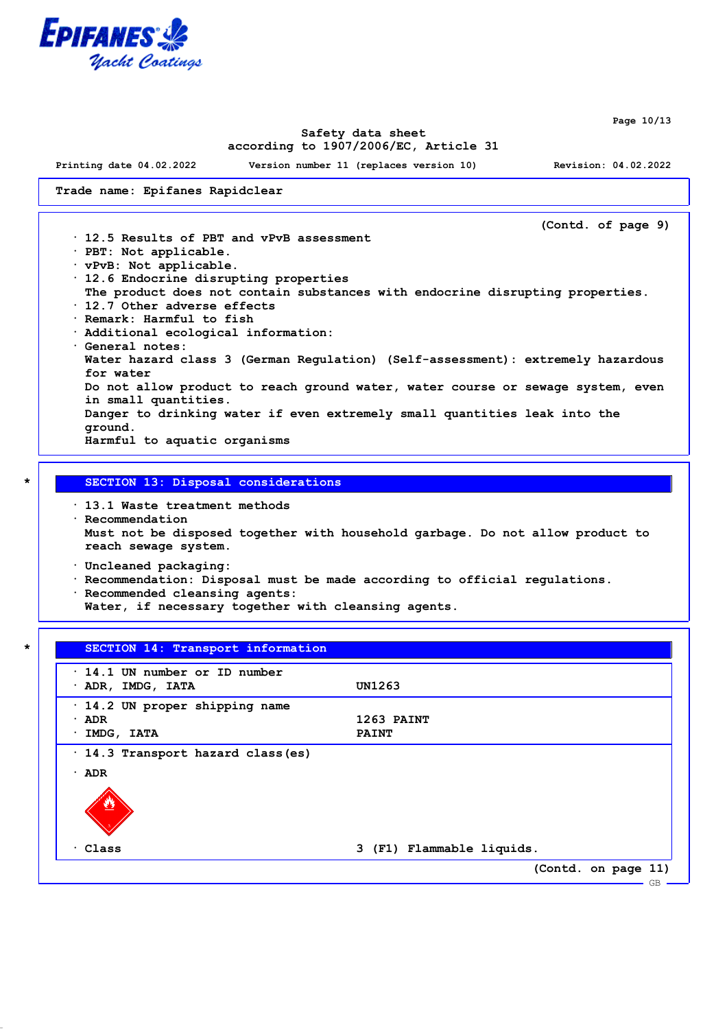

**Page 10/13**

## **Safety data sheet according to 1907/2006/EC, Article 31**

**Printing date 04.02.2022 Version number 11 (replaces version 10) Revision: 04.02.2022**

**Trade name: Epifanes Rapidclear**

**(Contd. of page 9) · 12.5 Results of PBT and vPvB assessment · PBT: Not applicable. · vPvB: Not applicable. · 12.6 Endocrine disrupting properties The product does not contain substances with endocrine disrupting properties. · 12.7 Other adverse effects · Remark: Harmful to fish · Additional ecological information: · General notes: Water hazard class 3 (German Regulation) (Self-assessment): extremely hazardous for water Do not allow product to reach ground water, water course or sewage system, even in small quantities. Danger to drinking water if even extremely small quantities leak into the ground. Harmful to aquatic organisms**

#### **\* SECTION 13: Disposal considerations**

**· 13.1 Waste treatment methods**

**· Recommendation Must not be disposed together with household garbage. Do not allow product to reach sewage system.**

**· Uncleaned packaging:**

- **· Recommendation: Disposal must be made according to official regulations.**
- **· Recommended cleansing agents:**
- **Water, if necessary together with cleansing agents.**

| $\cdot$ 14.1 UN number or ID number<br>$\cdot$ ADR, IMDG, IATA | UN1263                    |
|----------------------------------------------------------------|---------------------------|
|                                                                |                           |
| 14.2 UN proper shipping name                                   |                           |
| $\cdot$ ADR                                                    | 1263 PAINT                |
| IMDG, IATA                                                     | <b>PAINT</b>              |
| ADR<br>٠                                                       |                           |
|                                                                | 3 (F1) Flammable liquids. |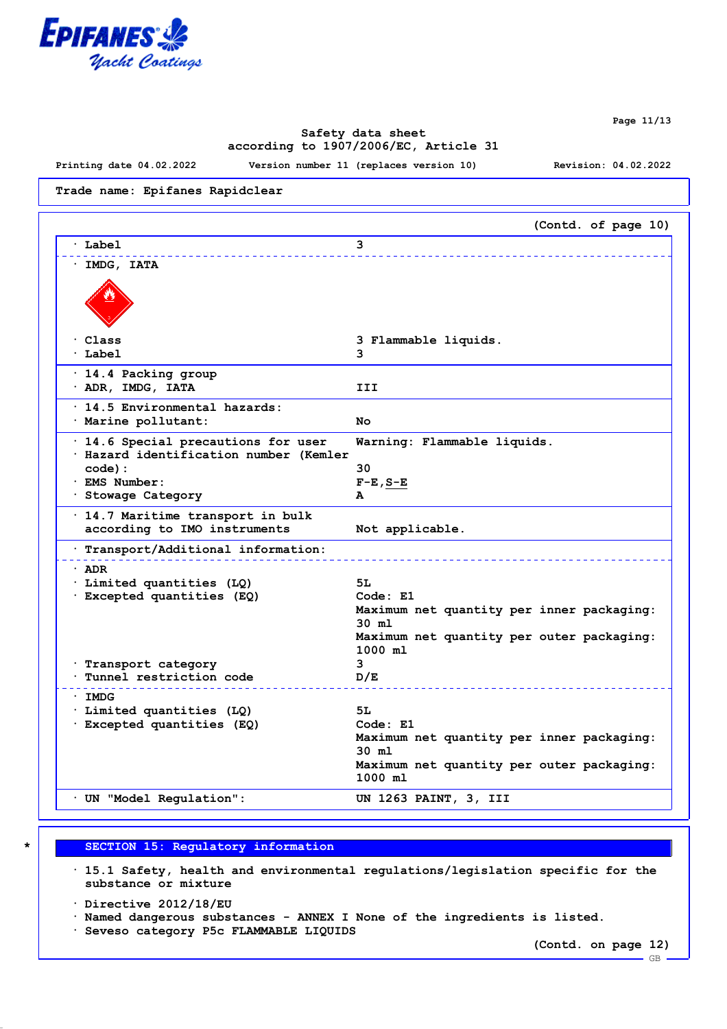

**Page 11/13**

# **Safety data sheet according to 1907/2006/EC, Article 31**

**Printing date 04.02.2022 Version number 11 (replaces version 10) Revision: 04.02.2022**

**Trade name: Epifanes Rapidclear**

|                                                                                                                              | (Contd. of page 10)                                                                                                                        |
|------------------------------------------------------------------------------------------------------------------------------|--------------------------------------------------------------------------------------------------------------------------------------------|
| Label                                                                                                                        | 3                                                                                                                                          |
| IMDG, IATA                                                                                                                   |                                                                                                                                            |
| Class<br>$·$ Label                                                                                                           | 3 Flammable liquids.<br>3                                                                                                                  |
| · 14.4 Packing group<br>· ADR, IMDG, IATA                                                                                    | III                                                                                                                                        |
| $\cdot$ 14.5 Environmental hazards:<br>· Marine pollutant:                                                                   | No                                                                                                                                         |
| · 14.6 Special precautions for user<br>· Hazard identification number (Kemler<br>code):<br>· EMS Number:<br>Stowage Category | Warning: Flammable liquids.<br>30<br>$F-E$ , $S-E$<br>Α                                                                                    |
| · 14.7 Maritime transport in bulk<br>according to IMO instruments                                                            | Not applicable.                                                                                                                            |
| · Transport/Additional information:                                                                                          |                                                                                                                                            |
| · ADR<br>· Limited quantities (LQ)<br>· Excepted quantities (EQ)<br>Transport category<br>Tunnel restriction code            | 5L<br>Code: E1<br>Maximum net quantity per inner packaging:<br>$30$ ml<br>Maximum net quantity per outer packaging:<br>1000 ml<br>3<br>D/E |
| · IMDG<br>· Limited quantities (LQ)<br>· Excepted quantities (EQ)                                                            | 5L<br>Code: E1<br>Maximum net quantity per inner packaging:<br>$30$ $m1$<br>Maximum net quantity per outer packaging:<br>1000 ml           |
| UN "Model Regulation":                                                                                                       | UN 1263 PAINT, 3, III                                                                                                                      |

# **\* SECTION 15: Regulatory information**

**· 15.1 Safety, health and environmental regulations/legislation specific for the substance or mixture**

**· Directive 2012/18/EU**

**· Named dangerous substances - ANNEX I None of the ingredients is listed.**

**· Seveso category P5c FLAMMABLE LIQUIDS**

**(Contd. on page 12)**

GB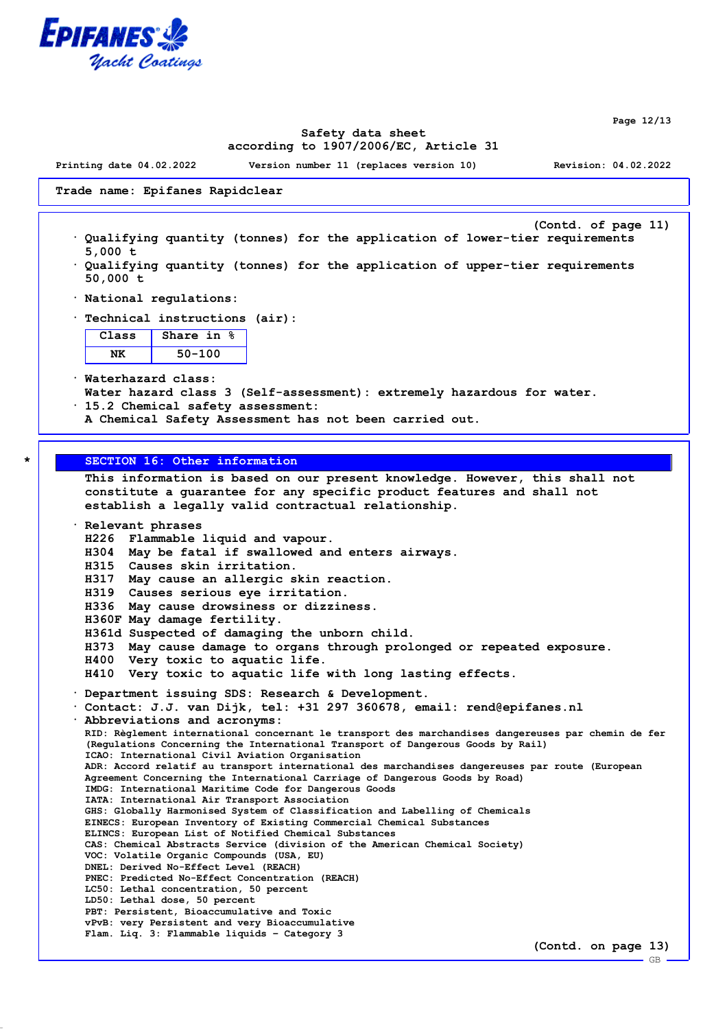

**Page 12/13**

#### **Safety data sheet according to 1907/2006/EC, Article 31**

**Printing date 04.02.2022 Version number 11 (replaces version 10) Revision: 04.02.2022**

**Trade name: Epifanes Rapidclear**

- **(Contd. of page 11) · Qualifying quantity (tonnes) for the application of lower-tier requirements 5,000 t**
- **· Qualifying quantity (tonnes) for the application of upper-tier requirements 50,000 t**
- **· National regulations:**
- **· Technical instructions (air):**

| Class | <b>Share in</b><br>℁ |
|-------|----------------------|
|       | 50–100               |

**· Waterhazard class: Water hazard class 3 (Self-assessment): extremely hazardous for water. · 15.2 Chemical safety assessment:**

**A Chemical Safety Assessment has not been carried out.**

# **\* SECTION 16: Other information**

**This information is based on our present knowledge. However, this shall not constitute a guarantee for any specific product features and shall not establish a legally valid contractual relationship. · Relevant phrases**

```
H226 Flammable liquid and vapour.
H304 May be fatal if swallowed and enters airways.
H315 Causes skin irritation.
H317 May cause an allergic skin reaction.
H319 Causes serious eye irritation.
```
- **H336 May cause drowsiness or dizziness.**
- **H360F May damage fertility.**
- **H361d Suspected of damaging the unborn child.**
- **H373 May cause damage to organs through prolonged or repeated exposure.**
- **H400 Very toxic to aquatic life.**
- **H410 Very toxic to aquatic life with long lasting effects.**
- **· Department issuing SDS: Research & Development.**

**· Contact: J.J. van Dijk, tel: +31 297 360678, email: rend@epifanes.nl · Abbreviations and acronyms: RID: Règlement international concernant le transport des marchandises dangereuses par chemin de fer**

**(Regulations Concerning the International Transport of Dangerous Goods by Rail) ICAO: International Civil Aviation Organisation ADR: Accord relatif au transport international des marchandises dangereuses par route (European Agreement Concerning the International Carriage of Dangerous Goods by Road) IMDG: International Maritime Code for Dangerous Goods IATA: International Air Transport Association GHS: Globally Harmonised System of Classification and Labelling of Chemicals EINECS: European Inventory of Existing Commercial Chemical Substances ELINCS: European List of Notified Chemical Substances CAS: Chemical Abstracts Service (division of the American Chemical Society) VOC: Volatile Organic Compounds (USA, EU) DNEL: Derived No-Effect Level (REACH) PNEC: Predicted No-Effect Concentration (REACH) LC50: Lethal concentration, 50 percent LD50: Lethal dose, 50 percent PBT: Persistent, Bioaccumulative and Toxic vPvB: very Persistent and very Bioaccumulative Flam. Liq. 3: Flammable liquids – Category 3**

**(Contd. on page 13)**